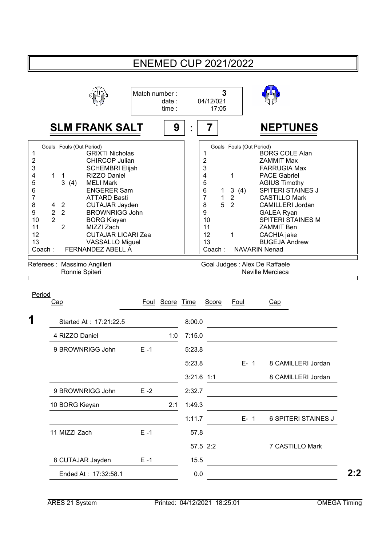|                                                                                                                                                                                                                                                                                                                                                                                                                                                                                                                                                                                                                                      |               |                 |        |                                                                                                                               | <b>ENEMED CUP 2021/2022</b>                                                      |                                                                                                                                                                                                         |                                                                                                                                                                          |
|--------------------------------------------------------------------------------------------------------------------------------------------------------------------------------------------------------------------------------------------------------------------------------------------------------------------------------------------------------------------------------------------------------------------------------------------------------------------------------------------------------------------------------------------------------------------------------------------------------------------------------------|---------------|-----------------|--------|-------------------------------------------------------------------------------------------------------------------------------|----------------------------------------------------------------------------------|---------------------------------------------------------------------------------------------------------------------------------------------------------------------------------------------------------|--------------------------------------------------------------------------------------------------------------------------------------------------------------------------|
|                                                                                                                                                                                                                                                                                                                                                                                                                                                                                                                                                                                                                                      | Match number: | date:<br>time:  |        | 04/12/021<br>17:05                                                                                                            | 3                                                                                |                                                                                                                                                                                                         |                                                                                                                                                                          |
| <b>SLM FRANK SALT</b>                                                                                                                                                                                                                                                                                                                                                                                                                                                                                                                                                                                                                |               | 9               |        | 7                                                                                                                             |                                                                                  |                                                                                                                                                                                                         | <b>NEPTUNES</b>                                                                                                                                                          |
| Goals Fouls (Out Period)<br><b>GRIXTI Nicholas</b><br>1<br>$\overline{\mathbf{c}}$<br><b>CHIRCOP Julian</b><br>3<br><b>SCHEMBRI Elijah</b><br>RIZZO Daniel<br>4<br>1<br>1<br>5<br>3<br><b>MELI Mark</b><br>(4)<br>6<br><b>ENGERER Sam</b><br>7<br><b>ATTARD Basti</b><br>8<br><b>CUTAJAR Jayden</b><br>$\overline{2}$<br>4<br>$\overline{2}$<br>$\overline{2}$<br>9<br><b>BROWNRIGG John</b><br>$\overline{2}$<br>10<br><b>BORG Kieyan</b><br>$\overline{2}$<br>11<br>MIZZI Zach<br>12<br><b>CUTAJAR LICARI Zea</b><br>13<br><b>VASSALLO Miguel</b><br>FERNANDEZ ABELL A<br>Coach:<br>Referees : Massimo Angilleri<br>Ronnie Spiteri |               |                 |        | 1<br>$\overline{\mathbf{c}}$<br>3<br>4<br>5<br>6<br>1<br>$\overline{7}$<br>1<br>5<br>8<br>9<br>10<br>11<br>12<br>13<br>Coach: | Goals Fouls (Out Period)<br>1<br>$\mathbf{3}$<br>(4)<br>2<br>$\overline{2}$<br>1 | <b>ZAMMIT Max</b><br><b>PACE Gabriel</b><br><b>AGIUS Timothy</b><br><b>GALEA Ryan</b><br><b>ZAMMIT Ben</b><br>CACHIA jake<br><b>NAVARIN Nenad</b><br>Goal Judges : Alex De Raffaele<br>Neville Mercieca | <b>BORG COLE Alan</b><br><b>FARRUGIA Max</b><br><b>SPITERI STAINES J</b><br><b>CASTILLO Mark</b><br><b>CAMILLERI Jordan</b><br>SPITERI STAINES M<br><b>BUGEJA Andrew</b> |
| Period<br><u>Cap</u>                                                                                                                                                                                                                                                                                                                                                                                                                                                                                                                                                                                                                 |               | Foul Score Time |        | <b>Score</b>                                                                                                                  | Foul                                                                             | Cap                                                                                                                                                                                                     |                                                                                                                                                                          |
| 1<br>Started At: 17:21:22.5                                                                                                                                                                                                                                                                                                                                                                                                                                                                                                                                                                                                          |               |                 | 8:00.0 |                                                                                                                               |                                                                                  |                                                                                                                                                                                                         |                                                                                                                                                                          |
| 4 RIZZO Daniel                                                                                                                                                                                                                                                                                                                                                                                                                                                                                                                                                                                                                       |               | 1:0             | 7:15.0 |                                                                                                                               |                                                                                  |                                                                                                                                                                                                         |                                                                                                                                                                          |
| 9 BROWNRIGG John                                                                                                                                                                                                                                                                                                                                                                                                                                                                                                                                                                                                                     | $E - 1$       |                 | 5:23.8 |                                                                                                                               |                                                                                  |                                                                                                                                                                                                         |                                                                                                                                                                          |
|                                                                                                                                                                                                                                                                                                                                                                                                                                                                                                                                                                                                                                      |               |                 | 5:23.8 |                                                                                                                               | $E - 1$                                                                          |                                                                                                                                                                                                         | 8 CAMILLERI Jordan                                                                                                                                                       |
|                                                                                                                                                                                                                                                                                                                                                                                                                                                                                                                                                                                                                                      |               |                 |        | $3:21.6$ 1:1                                                                                                                  |                                                                                  |                                                                                                                                                                                                         | 8 CAMILLERI Jordan                                                                                                                                                       |
| 9 BROWNRIGG John                                                                                                                                                                                                                                                                                                                                                                                                                                                                                                                                                                                                                     | $E - 2$       |                 | 2:32.7 |                                                                                                                               |                                                                                  |                                                                                                                                                                                                         |                                                                                                                                                                          |
| 10 BORG Kieyan                                                                                                                                                                                                                                                                                                                                                                                                                                                                                                                                                                                                                       |               | 2:1             | 1:49.3 |                                                                                                                               |                                                                                  |                                                                                                                                                                                                         |                                                                                                                                                                          |
|                                                                                                                                                                                                                                                                                                                                                                                                                                                                                                                                                                                                                                      |               |                 | 1:11.7 |                                                                                                                               | $E-1$                                                                            |                                                                                                                                                                                                         | <b>6 SPITERI STAINES J</b>                                                                                                                                               |
| 11 MIZZI Zach                                                                                                                                                                                                                                                                                                                                                                                                                                                                                                                                                                                                                        | $E - 1$       |                 | 57.8   |                                                                                                                               |                                                                                  |                                                                                                                                                                                                         |                                                                                                                                                                          |
|                                                                                                                                                                                                                                                                                                                                                                                                                                                                                                                                                                                                                                      |               |                 |        | 57.5 2:2                                                                                                                      |                                                                                  |                                                                                                                                                                                                         | 7 CASTILLO Mark                                                                                                                                                          |
| 8 CUTAJAR Jayden                                                                                                                                                                                                                                                                                                                                                                                                                                                                                                                                                                                                                     | $E - 1$       |                 | 15.5   |                                                                                                                               |                                                                                  |                                                                                                                                                                                                         |                                                                                                                                                                          |
| Ended At: 17:32:58.1                                                                                                                                                                                                                                                                                                                                                                                                                                                                                                                                                                                                                 |               |                 | 0.0    |                                                                                                                               |                                                                                  |                                                                                                                                                                                                         |                                                                                                                                                                          |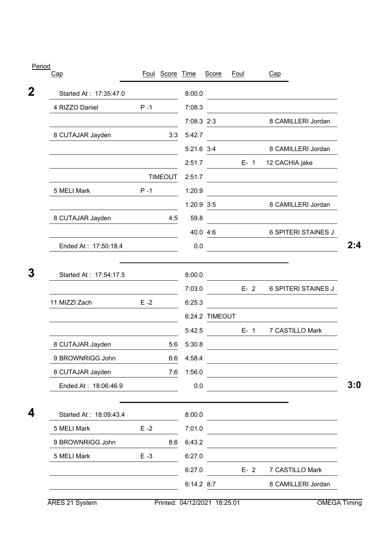| Cap                    |         | Foul Score Time |            | Score          | <b>Foul</b> | Cap                                                                                                                  |
|------------------------|---------|-----------------|------------|----------------|-------------|----------------------------------------------------------------------------------------------------------------------|
| Started At: 17:35:47.0 |         |                 | 8:00.0     |                |             | <u> 1989 - Johann Barbara, martxa alemaniar a</u>                                                                    |
| 4 RIZZO Daniel         | $P - 1$ |                 | 7:08.3     |                |             |                                                                                                                      |
|                        |         |                 | 7:08.3 2:3 |                |             | 8 CAMILLERI Jordan                                                                                                   |
| 8 CUTAJAR Jayden       |         | 3:3             | 5:42.7     |                |             |                                                                                                                      |
|                        |         |                 | 5:21.6 3:4 |                |             | 8 CAMILLERI Jordan                                                                                                   |
|                        |         |                 | 2:51.7     |                | $E-1$       | 12 CACHIA jake                                                                                                       |
|                        |         | <b>TIMEOUT</b>  | 2:51.7     |                |             |                                                                                                                      |
| 5 MELI Mark            | $P - 1$ |                 | 1:20.9     |                |             |                                                                                                                      |
|                        |         |                 | 1:20.9 3:5 |                |             | 8 CAMILLERI Jordan                                                                                                   |
| 8 CUTAJAR Jayden       |         | 4:5             | 59.8       |                |             |                                                                                                                      |
|                        |         |                 |            | 40.0 4:6       |             | <b>6 SPITERI STAINES J</b>                                                                                           |
| Ended At: 17:50:18.4   |         |                 | 0.0        |                |             |                                                                                                                      |
| Started At: 17:54:17.5 |         |                 | 8:00.0     |                |             |                                                                                                                      |
|                        |         |                 | 7:03.0     |                | $E - 2$     | <b>6 SPITERI STAINES J</b>                                                                                           |
| 11 MIZZI Zach          | $E - 2$ |                 | 6:25.3     |                |             |                                                                                                                      |
|                        |         |                 |            | 6:24.2 TIMEOUT |             |                                                                                                                      |
|                        |         |                 | 5:42.5     |                | $E - 1$     | 7 CASTILLO Mark                                                                                                      |
| 8 CUTAJAR Jayden       |         | 5:6             | 5:30.8     |                |             |                                                                                                                      |
| 9 BROWNRIGG John       |         | 6:6             | 4:58.4     |                |             |                                                                                                                      |
| 8 CUTAJAR Jayden       |         | 7:6             | 1:56.0     |                |             | <u> 1989 - Johann Barn, mars ann an t-Amhain Aonaich an t-Aonaich an t-Aonaich ann an t-Aonaich ann an t-Aonaich</u> |
| Ended At: 18:06:46.9   |         |                 | 0.0        |                |             |                                                                                                                      |
| Started At: 18:09:43.4 |         |                 | 8:00.0     |                |             | the control of the control of the control of the control of the control of                                           |
| 5 MELI Mark            | $E - 2$ |                 | 7:01.0     |                |             | the contract of the contract of the contract of the contract of the contract of                                      |
| 9 BROWNRIGG John       |         | 8:6             | 6:43.2     |                |             |                                                                                                                      |
| 5 MELI Mark            | $E - 3$ |                 | 6:27.0     |                |             |                                                                                                                      |
|                        |         |                 | 6:27.0     |                | $E - 2$     | 7 CASTILLO Mark                                                                                                      |
|                        |         |                 | 6:14.2 8:7 |                |             | 8 CAMILLERI Jordan                                                                                                   |

ARES 21 System Printed: 04/12/2021 18:25:01 OMEGA Timing